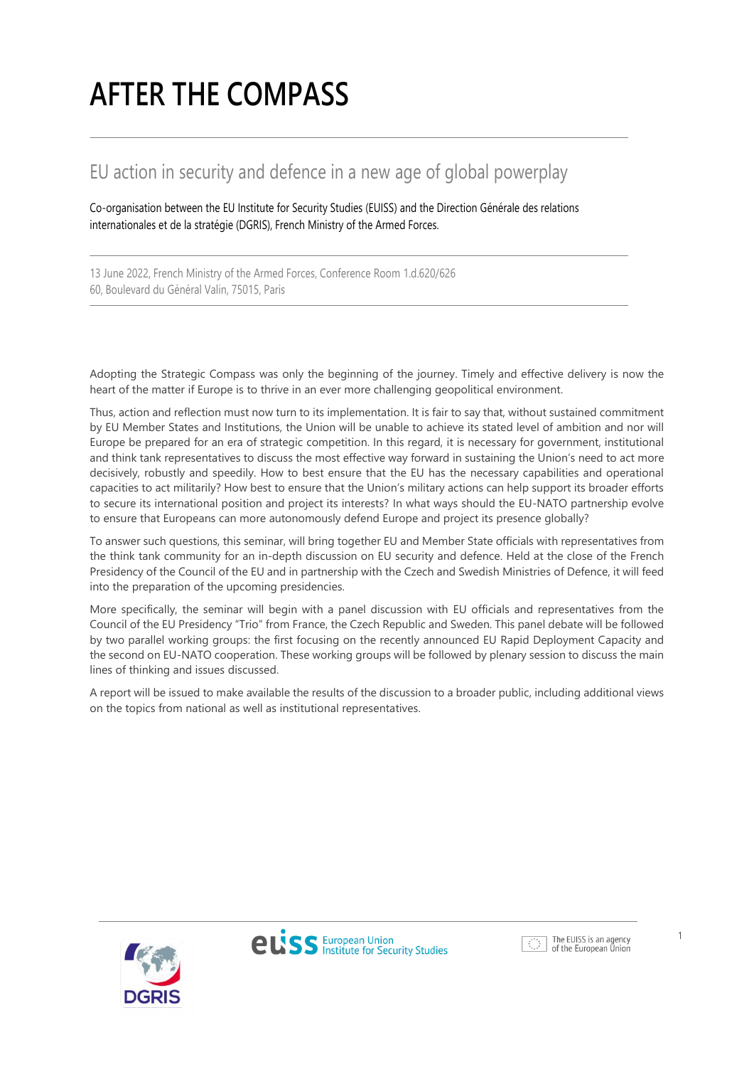# **AFTER THE COMPASS**

# EU action in security and defence in a new age of global powerplay

Co-organisation between the EU Institute for Security Studies (EUISS) and the Direction Générale des relations internationales et de la stratégie (DGRIS), French Ministry of the Armed Forces.

13 June 2022, French Ministry of the Armed Forces, Conference Room 1.d.620/626 60, Boulevard du Général Valin, 75015, Paris

Adopting the Strategic Compass was only the beginning of the journey. Timely and effective delivery is now the heart of the matter if Europe is to thrive in an ever more challenging geopolitical environment.

Thus, action and reflection must now turn to its implementation. It is fair to say that, without sustained commitment by EU Member States and Institutions, the Union will be unable to achieve its stated level of ambition and nor will Europe be prepared for an era of strategic competition. In this regard, it is necessary for government, institutional and think tank representatives to discuss the most effective way forward in sustaining the Union's need to act more decisively, robustly and speedily. How to best ensure that the EU has the necessary capabilities and operational capacities to act militarily? How best to ensure that the Union's military actions can help support its broader efforts to secure its international position and project its interests? In what ways should the EU-NATO partnership evolve to ensure that Europeans can more autonomously defend Europe and project its presence globally?

To answer such questions, this seminar, will bring together EU and Member State officials with representatives from the think tank community for an in-depth discussion on EU security and defence. Held at the close of the French Presidency of the Council of the EU and in partnership with the Czech and Swedish Ministries of Defence, it will feed into the preparation of the upcoming presidencies.

More specifically, the seminar will begin with a panel discussion with EU officials and representatives from the Council of the EU Presidency "Trio" from France, the Czech Republic and Sweden. This panel debate will be followed by two parallel working groups: the first focusing on the recently announced EU Rapid Deployment Capacity and the second on EU-NATO cooperation. These working groups will be followed by plenary session to discuss the main lines of thinking and issues discussed.

A report will be issued to make available the results of the discussion to a broader public, including additional views on the topics from national as well as institutional representatives.